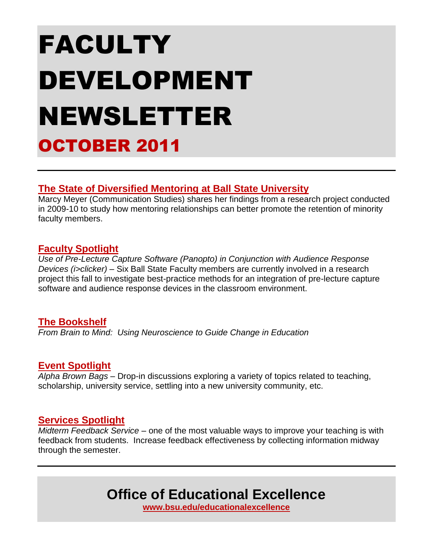# <span id="page-0-0"></span>FACULTY DEVELOPMENT NEWSLETTER OCTOBER 2011

### **[The State of Diversified Mentoring at Ball State University](#page-1-0)**

Marcy Meyer (Communication Studies) shares her findings from a research project conducted in 2009-10 to study how mentoring relationships can better promote the retention of minority faculty members.

### **[Faculty Spotlight](#page-3-0)**

*Use of Pre-Lecture Capture Software (Panopto) in Conjunction with Audience Response Devices (i>clicker)* – Six Ball State Faculty members are currently involved in a research project this fall to investigate best-practice methods for an integration of pre-lecture capture software and audience response devices in the classroom environment.

### **[The Bookshelf](#page-5-0)**

*From Brain to Mind: Using Neuroscience to Guide Change in Education*

### **[Event Spotlight](#page-2-0)**

*Alpha Brown Bags –* Drop-in discussions exploring a variety of topics related to teaching, scholarship, university service, settling into a new university community, etc.

### **[Services Spotlight](#page-6-0)**

*Midterm Feedback Service* – one of the most valuable ways to improve your teaching is with feedback from students. Increase feedback effectiveness by collecting information midway through the semester.

**Office of Educational Excellence**

**[www.bsu.edu/educationalexcellence](http://www.bsu.edu/educationalexcellence)**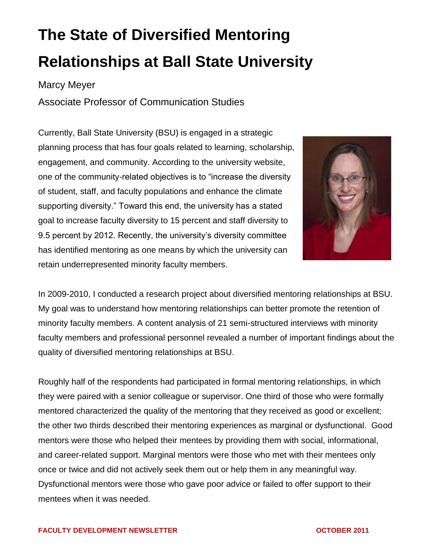# <span id="page-1-0"></span>**The State of Diversified Mentoring Relationships at Ball State University**

### Marcy Meyer

Associate Professor of Communication Studies

Currently, Ball State University (BSU) is engaged in a strategic planning process that has four goals related to learning, scholarship, engagement, and community. According to the university website, one of the community-related objectives is to "increase the diversity" of student, staff, and faculty populations and enhance the climate supporting diversity." Toward this end, the university has a stated goal to increase faculty diversity to 15 percent and staff diversity to 9.5 percent by 2012. Recently, the university's diversity committee has identified mentoring as one means by which the university can retain underrepresented minority faculty members.



In 2009-2010, I conducted a research project about diversified mentoring relationships at BSU. My goal was to understand how mentoring relationships can better promote the retention of minority faculty members. A content analysis of 21 semi-structured interviews with minority faculty members and professional personnel revealed a number of important findings about the quality of diversified mentoring relationships at BSU.

Roughly half of the respondents had participated in formal mentoring relationships, in which they were paired with a senior colleague or supervisor. One third of those who were formally mentored characterized the quality of the mentoring that they received as good or excellent; the other two thirds described their mentoring experiences as marginal or dysfunctional. Good mentors were those who helped their mentees by providing them with social, informational, and career-related support. Marginal mentors were those who met with their mentees only once or twice and did not actively seek them out or help them in any meaningful way. Dysfunctional mentors were those who gave poor advice or failed to offer support to their mentees when it was needed.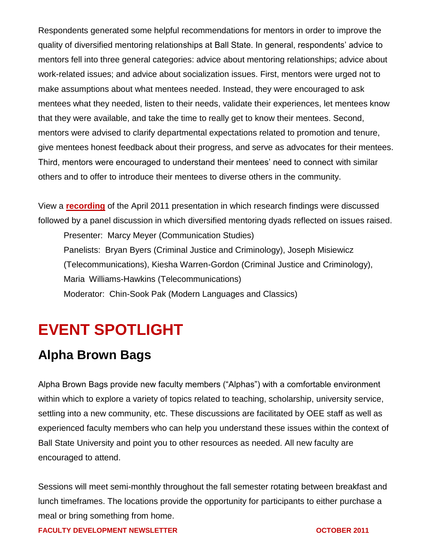Respondents generated some helpful recommendations for mentors in order to improve the quality of diversified mentoring relationships at Ball State. In general, respondents' advice to mentors fell into three general categories: advice about mentoring relationships; advice about work-related issues; and advice about socialization issues. First, mentors were urged not to make assumptions about what mentees needed. Instead, they were encouraged to ask mentees what they needed, listen to their needs, validate their experiences, let mentees know that they were available, and take the time to really get to know their mentees. Second, mentors were advised to clarify departmental expectations related to promotion and tenure, give mentees honest feedback about their progress, and serve as advocates for their mentees. Third, mentors were encouraged to understand their mentees' need to connect with similar others and to offer to introduce their mentees to diverse others in the community.

View a **[recording](http://dvisweb1.bsu.edu/media/bsu/Educational_Excellence/The_State_of_Diversified_Mentoring_Relationships/)** of the April 2011 presentation in which research findings were discussed followed by a panel discussion in which diversified mentoring dyads reflected on issues raised. Presenter: Marcy Meyer (Communication Studies) Panelists: Bryan Byers (Criminal Justice and Criminology), Joseph Misiewicz (Telecommunications), Kiesha Warren-Gordon (Criminal Justice and Criminology), Maria Williams-Hawkins (Telecommunications) Moderator: Chin-Sook Pak (Modern Languages and Classics)

### <span id="page-2-0"></span>**EVENT SPOTLIGHT**

### **Alpha Brown Bags**

Alpha Brown Bags provide new faculty members ("Alphas") with a comfortable environment within which to explore a variety of topics related to teaching, scholarship, university service, settling into a new community, etc. These discussions are facilitated by OEE staff as well as experienced faculty members who can help you understand these issues within the context of Ball State University and point you to other resources as needed. All new faculty are encouraged to attend.

Sessions will meet semi-monthly throughout the fall semester rotating between breakfast and lunch timeframes. The locations provide the opportunity for participants to either purchase a meal or bring something from home.

**FACULTY DEVELOPMENT NEWSLETTER OCTOBER 2011**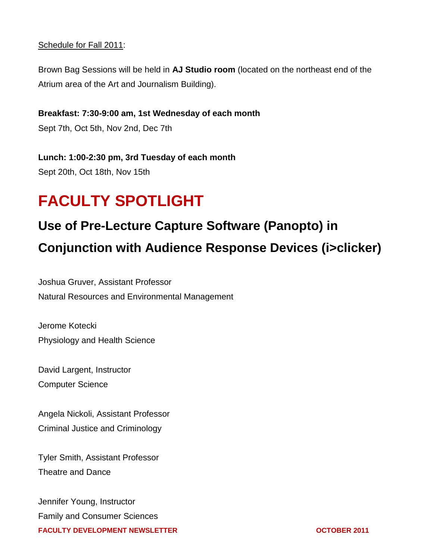#### Schedule for Fall 2011:

Brown Bag Sessions will be held in **AJ Studio room** (located on the northeast end of the Atrium area of the Art and Journalism Building).

**Breakfast: 7:30-9:00 am, 1st Wednesday of each month**  Sept 7th, Oct 5th, Nov 2nd, Dec 7th

**Lunch: 1:00-2:30 pm, 3rd Tuesday of each month**  Sept 20th, Oct 18th, Nov 15th

# <span id="page-3-0"></span>**FACULTY SPOTLIGHT**

## **Use of Pre-Lecture Capture Software (Panopto) in Conjunction with Audience Response Devices (i>clicker)**

Joshua Gruver, Assistant Professor Natural Resources and Environmental Management

Jerome Kotecki Physiology and Health Science

David Largent, Instructor Computer Science

Angela Nickoli, Assistant Professor Criminal Justice and Criminology

Tyler Smith, Assistant Professor Theatre and Dance

**FACULTY DEVELOPMENT NEWSLETTER OCTOBER 2011** Jennifer Young, Instructor Family and Consumer Sciences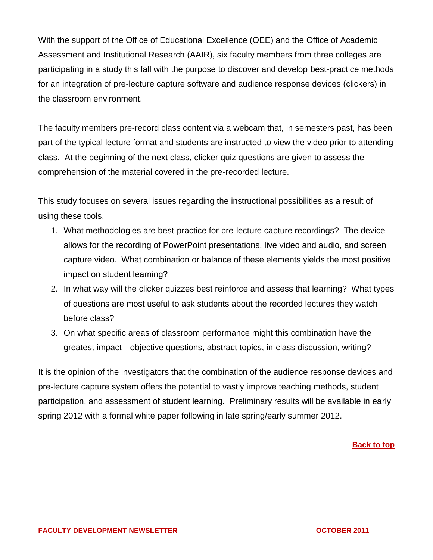With the support of the Office of Educational Excellence (OEE) and the Office of Academic Assessment and Institutional Research (AAIR), six faculty members from three colleges are participating in a study this fall with the purpose to discover and develop best-practice methods for an integration of pre-lecture capture software and audience response devices (clickers) in the classroom environment.

The faculty members pre-record class content via a webcam that, in semesters past, has been part of the typical lecture format and students are instructed to view the video prior to attending class. At the beginning of the next class, clicker quiz questions are given to assess the comprehension of the material covered in the pre-recorded lecture.

This study focuses on several issues regarding the instructional possibilities as a result of using these tools.

- 1. What methodologies are best-practice for pre-lecture capture recordings? The device allows for the recording of PowerPoint presentations, live video and audio, and screen capture video. What combination or balance of these elements yields the most positive impact on student learning?
- 2. In what way will the clicker quizzes best reinforce and assess that learning? What types of questions are most useful to ask students about the recorded lectures they watch before class?
- 3. On what specific areas of classroom performance might this combination have the greatest impact—objective questions, abstract topics, in-class discussion, writing?

It is the opinion of the investigators that the combination of the audience response devices and pre-lecture capture system offers the potential to vastly improve teaching methods, student participation, and assessment of student learning. Preliminary results will be available in early spring 2012 with a formal white paper following in late spring/early summer 2012.

**[Back to top](#page-0-0)**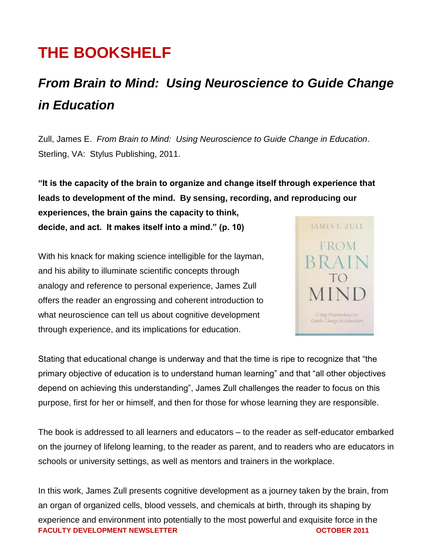# <span id="page-5-0"></span>**THE BOOKSHELF**

# *From Brain to Mind: Using Neuroscience to Guide Change in Education*

Zull, James E. *From Brain to Mind: Using Neuroscience to Guide Change in Education*. Sterling, VA: Stylus Publishing, 2011.

**"It is the capacity of the brain to organize and change itself through experience that leads to development of the mind. By sensing, recording, and reproducing our experiences, the brain gains the capacity to think,** 

**decide, and act. It makes itself into a mind." (p. 10)**

With his knack for making science intelligible for the layman, and his ability to illuminate scientific concepts through analogy and reference to personal experience, James Zull offers the reader an engrossing and coherent introduction to what neuroscience can tell us about cognitive development through experience, and its implications for education.



Stating that educational change is underway and that the time is ripe to recognize that "the primary objective of education is to understand human learning" and that "all other objectives depend on achieving this understanding", James Zull challenges the reader to focus on this purpose, first for her or himself, and then for those for whose learning they are responsible.

The book is addressed to all learners and educators – to the reader as self-educator embarked on the journey of lifelong learning, to the reader as parent, and to readers who are educators in schools or university settings, as well as mentors and trainers in the workplace.

**FACULTY DEVELOPMENT NEWSLETTER OCTOBER 2011** In this work, James Zull presents cognitive development as a journey taken by the brain, from an organ of organized cells, blood vessels, and chemicals at birth, through its shaping by experience and environment into potentially to the most powerful and exquisite force in the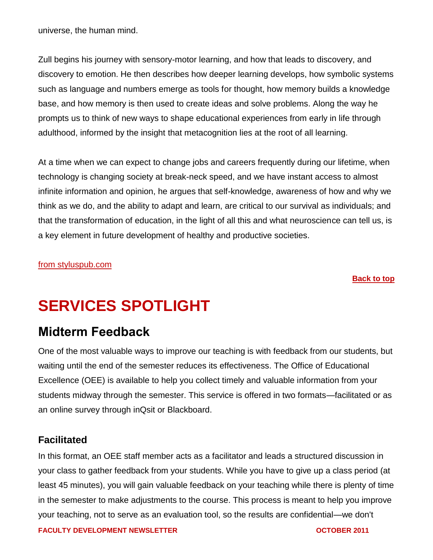universe, the human mind.

Zull begins his journey with sensory-motor learning, and how that leads to discovery, and discovery to emotion. He then describes how deeper learning develops, how symbolic systems such as language and numbers emerge as tools for thought, how memory builds a knowledge base, and how memory is then used to create ideas and solve problems. Along the way he prompts us to think of new ways to shape educational experiences from early in life through adulthood, informed by the insight that metacognition lies at the root of all learning.

At a time when we can expect to change jobs and careers frequently during our lifetime, when technology is changing society at break-neck speed, and we have instant access to almost infinite information and opinion, he argues that self-knowledge, awareness of how and why we think as we do, and the ability to adapt and learn, are critical to our survival as individuals; and that the transformation of education, in the light of all this and what neuroscience can tell us, is a key element in future development of healthy and productive societies.

#### [from styluspub.com](http://www.styluspub.com/)

**[Back to top](#page-0-0)**

### <span id="page-6-0"></span>**SERVICES SPOTLIGHT**

### **Midterm Feedback**

One of the most valuable ways to improve our teaching is with feedback from our students, but waiting until the end of the semester reduces its effectiveness. The Office of Educational Excellence (OEE) is available to help you collect timely and valuable information from your students midway through the semester. This service is offered in two formats—facilitated or as an online survey through inQsit or Blackboard.

### **Facilitated**

In this format, an OEE staff member acts as a facilitator and leads a structured discussion in your class to gather feedback from your students. While you have to give up a class period (at least 45 minutes), you will gain valuable feedback on your teaching while there is plenty of time in the semester to make adjustments to the course. This process is meant to help you improve your teaching, not to serve as an evaluation tool, so the results are confidential—we don't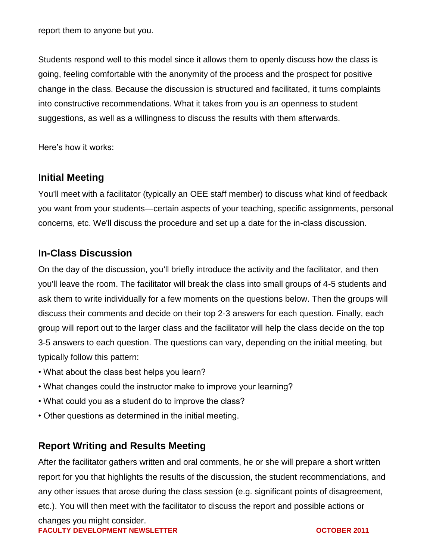report them to anyone but you.

Students respond well to this model since it allows them to openly discuss how the class is going, feeling comfortable with the anonymity of the process and the prospect for positive change in the class. Because the discussion is structured and facilitated, it turns complaints into constructive recommendations. What it takes from you is an openness to student suggestions, as well as a willingness to discuss the results with them afterwards.

Here's how it works:

### **Initial Meeting**

You'll meet with a facilitator (typically an OEE staff member) to discuss what kind of feedback you want from your students—certain aspects of your teaching, specific assignments, personal concerns, etc. We'll discuss the procedure and set up a date for the in-class discussion.

### **In-Class Discussion**

On the day of the discussion, you'll briefly introduce the activity and the facilitator, and then you'll leave the room. The facilitator will break the class into small groups of 4-5 students and ask them to write individually for a few moments on the questions below. Then the groups will discuss their comments and decide on their top 2-3 answers for each question. Finally, each group will report out to the larger class and the facilitator will help the class decide on the top 3-5 answers to each question. The questions can vary, depending on the initial meeting, but typically follow this pattern:

- What about the class best helps you learn?
- What changes could the instructor make to improve your learning?
- What could you as a student do to improve the class?
- Other questions as determined in the initial meeting.

### **Report Writing and Results Meeting**

**FACULTY DEVELOPMENT NEWSLETTER OCTOBER 2011** After the facilitator gathers written and oral comments, he or she will prepare a short written report for you that highlights the results of the discussion, the student recommendations, and any other issues that arose during the class session (e.g. significant points of disagreement, etc.). You will then meet with the facilitator to discuss the report and possible actions or changes you might consider.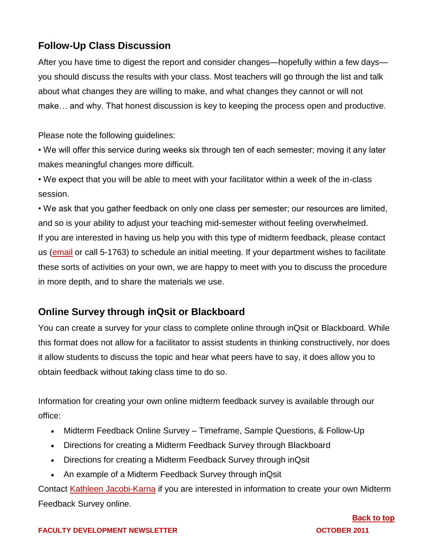### **Follow-Up Class Discussion**

After you have time to digest the report and consider changes—hopefully within a few days you should discuss the results with your class. Most teachers will go through the list and talk about what changes they are willing to make, and what changes they cannot or will not make… and why. That honest discussion is key to keeping the process open and productive.

Please note the following guidelines:

• We will offer this service during weeks six through ten of each semester; moving it any later makes meaningful changes more difficult.

• We expect that you will be able to meet with your facilitator within a week of the in-class session.

• We ask that you gather feedback on only one class per semester; our resources are limited, and so is your ability to adjust your teaching mid-semester without feeling overwhelmed. If you are interested in having us help you with this type of midterm feedback, please contact us [\(email](mailto:kjacobikarna@bsu.edu) or call 5-1763) to schedule an initial meeting. If your department wishes to facilitate these sorts of activities on your own, we are happy to meet with you to discuss the procedure in more depth, and to share the materials we use.

### **Online Survey through inQsit or Blackboard**

You can create a survey for your class to complete online through inQsit or Blackboard. While this format does not allow for a facilitator to assist students in thinking constructively, nor does it allow students to discuss the topic and hear what peers have to say, it does allow you to obtain feedback without taking class time to do so.

Information for creating your own online midterm feedback survey is available through our office:

- Midterm Feedback Online Survey Timeframe, Sample Questions, & Follow-Up
- Directions for creating a Midterm Feedback Survey through Blackboard
- Directions for creating a Midterm Feedback Survey through inQsit
- An example of a Midterm Feedback Survey through inQsit

Contact [Kathleen Jacobi-Karna](mailto:kjacobikarna@bsu.edu) if you are interested in information to create your own Midterm Feedback Survey online.